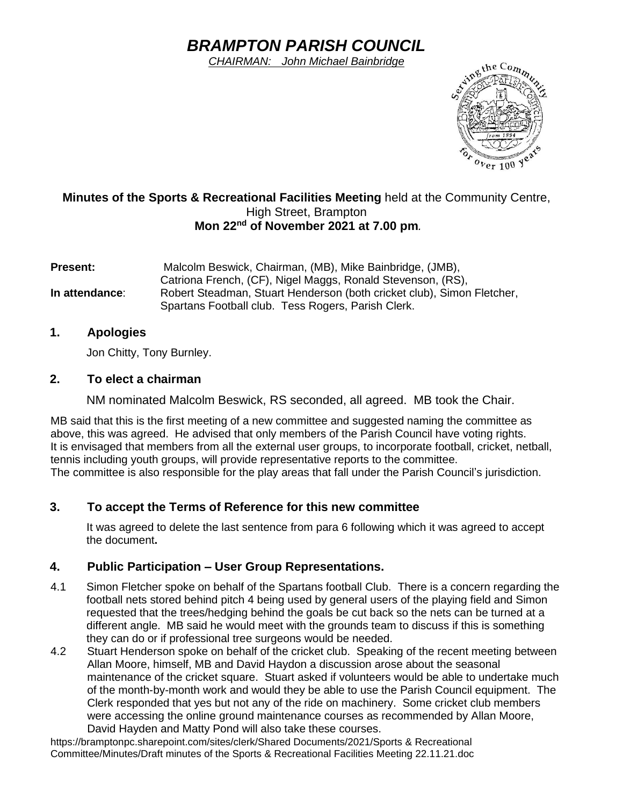# *BRAMPTON PARISH COUNCIL*

*CHAIRMAN: John Michael Bainbridge*



## **Minutes of the Sports & Recreational Facilities Meeting** held at the Community Centre, High Street, Brampton **Mon 22nd of November 2021 at 7.00 pm***.*

**Present:** Malcolm Beswick, Chairman, (MB), Mike Bainbridge, (JMB), Catriona French, (CF), Nigel Maggs, Ronald Stevenson, (RS), **In attendance**: Robert Steadman, Stuart Henderson (both cricket club), Simon Fletcher, Spartans Football club. Tess Rogers, Parish Clerk.

# **1. Apologies**

Jon Chitty, Tony Burnley.

## **2. To elect a chairman**

NM nominated Malcolm Beswick, RS seconded, all agreed. MB took the Chair.

MB said that this is the first meeting of a new committee and suggested naming the committee as above, this was agreed. He advised that only members of the Parish Council have voting rights. It is envisaged that members from all the external user groups, to incorporate football, cricket, netball, tennis including youth groups, will provide representative reports to the committee. The committee is also responsible for the play areas that fall under the Parish Council's jurisdiction.

# **3. To accept the Terms of Reference for this new committee**

It was agreed to delete the last sentence from para 6 following which it was agreed to accept the document**.**

## **4. Public Participation – User Group Representations.**

- 4.1 Simon Fletcher spoke on behalf of the Spartans football Club. There is a concern regarding the football nets stored behind pitch 4 being used by general users of the playing field and Simon requested that the trees/hedging behind the goals be cut back so the nets can be turned at a different angle. MB said he would meet with the grounds team to discuss if this is something they can do or if professional tree surgeons would be needed.
- 4.2 Stuart Henderson spoke on behalf of the cricket club. Speaking of the recent meeting between Allan Moore, himself, MB and David Haydon a discussion arose about the seasonal maintenance of the cricket square. Stuart asked if volunteers would be able to undertake much of the month-by-month work and would they be able to use the Parish Council equipment. The Clerk responded that yes but not any of the ride on machinery. Some cricket club members were accessing the online ground maintenance courses as recommended by Allan Moore, David Hayden and Matty Pond will also take these courses.

https://bramptonpc.sharepoint.com/sites/clerk/Shared Documents/2021/Sports & Recreational Committee/Minutes/Draft minutes of the Sports & Recreational Facilities Meeting 22.11.21.doc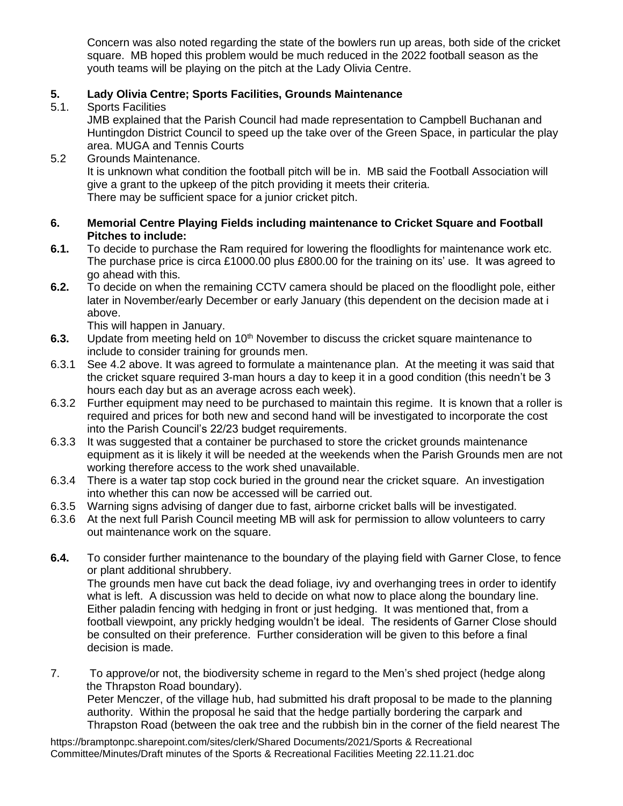Concern was also noted regarding the state of the bowlers run up areas, both side of the cricket square. MB hoped this problem would be much reduced in the 2022 football season as the youth teams will be playing on the pitch at the Lady Olivia Centre.

# **5. Lady Olivia Centre; Sports Facilities, Grounds Maintenance**

Sports Facilities

JMB explained that the Parish Council had made representation to Campbell Buchanan and Huntingdon District Council to speed up the take over of the Green Space, in particular the play area. MUGA and Tennis Courts

5.2 Grounds Maintenance.

It is unknown what condition the football pitch will be in. MB said the Football Association will give a grant to the upkeep of the pitch providing it meets their criteria. There may be sufficient space for a junior cricket pitch.

#### **6. Memorial Centre Playing Fields including maintenance to Cricket Square and Football Pitches to include:**

- **6.1.** To decide to purchase the Ram required for lowering the floodlights for maintenance work etc. The purchase price is circa £1000.00 plus £800.00 for the training on its' use. It was agreed to go ahead with this.
- **6.2.** To decide on when the remaining CCTV camera should be placed on the floodlight pole, either later in November/early December or early January (this dependent on the decision made at i above.

This will happen in January.

- **6.3.** Update from meeting held on 10<sup>th</sup> November to discuss the cricket square maintenance to include to consider training for grounds men.
- 6.3.1 See 4.2 above. It was agreed to formulate a maintenance plan. At the meeting it was said that the cricket square required 3-man hours a day to keep it in a good condition (this needn't be 3 hours each day but as an average across each week).
- 6.3.2 Further equipment may need to be purchased to maintain this regime. It is known that a roller is required and prices for both new and second hand will be investigated to incorporate the cost into the Parish Council's 22/23 budget requirements.
- 6.3.3 It was suggested that a container be purchased to store the cricket grounds maintenance equipment as it is likely it will be needed at the weekends when the Parish Grounds men are not working therefore access to the work shed unavailable.
- 6.3.4 There is a water tap stop cock buried in the ground near the cricket square. An investigation into whether this can now be accessed will be carried out.
- 6.3.5 Warning signs advising of danger due to fast, airborne cricket balls will be investigated.
- 6.3.6 At the next full Parish Council meeting MB will ask for permission to allow volunteers to carry out maintenance work on the square.
- **6.4.** To consider further maintenance to the boundary of the playing field with Garner Close, to fence or plant additional shrubbery.

The grounds men have cut back the dead foliage, ivy and overhanging trees in order to identify what is left. A discussion was held to decide on what now to place along the boundary line. Either paladin fencing with hedging in front or just hedging. It was mentioned that, from a football viewpoint, any prickly hedging wouldn't be ideal. The residents of Garner Close should be consulted on their preference. Further consideration will be given to this before a final decision is made.

7. To approve/or not, the biodiversity scheme in regard to the Men's shed project (hedge along the Thrapston Road boundary). Peter Menczer, of the village hub, had submitted his draft proposal to be made to the planning authority. Within the proposal he said that the hedge partially bordering the carpark and Thrapston Road (between the oak tree and the rubbish bin in the corner of the field nearest The

https://bramptonpc.sharepoint.com/sites/clerk/Shared Documents/2021/Sports & Recreational Committee/Minutes/Draft minutes of the Sports & Recreational Facilities Meeting 22.11.21.doc